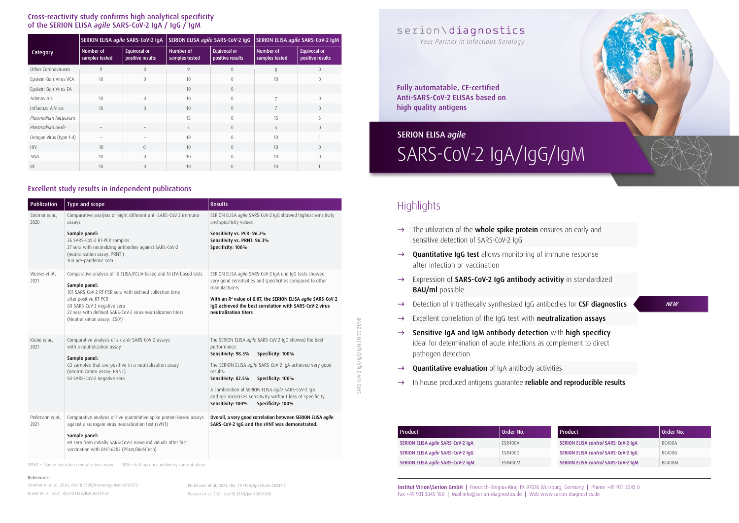*NEW*

Institut Virion\Serion GmbH | Friedrich-Bergius-Ring 19, 97076 Wurzburg, Germany | Phone +49 931 3045 0 Fax +49 931 3045 100 | Mail info@serion-diagnostics.de | Web www.serion-diagnostics.de



| Publication              | Type and scope                                                                                                                                                                  | <b>Results</b>                                                                                                                                              |
|--------------------------|---------------------------------------------------------------------------------------------------------------------------------------------------------------------------------|-------------------------------------------------------------------------------------------------------------------------------------------------------------|
| Strömer et al.,<br>2020  | Comparative analysis of eight different anti-SARS-CoV-2 immuno-<br>assays                                                                                                       | SERION ELISA agile SARS-CoV-2 IgG showed highest sensitivity<br>and specificity values                                                                      |
|                          | Sample panel:<br>26 SARS-CoV-2 RT-PCR samples<br>27 sera with neutralizing antibodies against SARS-CoV-2<br>(neutralization assay: PRNT <sup>1</sup> )<br>100 pre-pandemic sera | Sensitivity vs. PCR: 96.2%<br>Sensitivity vs. PRNT: 96.3%<br>Specificity: 100%                                                                              |
| Werner et al.,<br>2021   | Comparative analysis of 16 ELISA/ECLIA-based and 16 LFA-based tests.<br>Sample panel:<br>101 SARS-CoV-2 RT-PCR sera with defined collection time                                | SERION ELISA agile SARS-CoV-2 IgA und IgG tests showed<br>very good sensitivities and specificities compared to other<br>manufacturers.                     |
|                          | after positive RT-PCR<br>60 SARS-CoV-2 negative sera<br>22 sera with defined SARS-CoV-2 virus-neutralization titers<br>(Neutralization assay: IC50 <sup>2</sup> )               | With an R <sup>2</sup> value of 0.87, the SERION ELISA agile SARS-CoV-2<br>IgG achieved the best correlation with SARS-CoV-2 virus<br>neutralization titers |
| Krone et al.,<br>2021    | Comparative analysis of six anti-SARS-CoV-2 assays<br>with a neutralization assay.<br>Sample panel:                                                                             | The SERION ELISA agile SARS-CoV-2 IgG showed the best<br>performance:<br>Sensitivity: 98.3%<br>Specificity: 100%                                            |
|                          | 63 samples that are positive in a neutralization assay<br>(neutralization assay: PRNT)<br>50 SARS-CoV-2 negative sera                                                           | The SERION ELISA agile SARS-CoV-2 IgA achieved very good<br>results:<br>Sensitivity: 82.5%<br>Specificity: 100%                                             |
|                          |                                                                                                                                                                                 | A combination of SERION ELISA agile SARS-CoV-2 IgA<br>and IqG increases sensitivity without loss of specificity.<br>Sensitivity: 100%<br>Specificity: 100%  |
| Perkmann et al.,<br>2021 | Comparative analysis of five quantitative spike protein-based assays<br>against a surrogate virus neutralization test (sVNT)                                                    | Overall, a very good correlation between SERION ELISA agile<br>SARS-CoV-2 IgG and the sVNT was demonstrated.                                                |
|                          | Sample panel:<br>69 sera from initially SARS-CoV-2 naive individuals after first<br>vaccination with BNT162b2 (Pfizer/BioNTech)                                                 |                                                                                                                                                             |

| Product                           | Order No.      | <b>Product</b>                      | Order No.     |
|-----------------------------------|----------------|-------------------------------------|---------------|
| SERION ELISA agile SARS-CoV-2 IgA | ESR400A        | SERION ELISA control SARS-CoV-2 IqA | BC400A        |
| SERION ELISA agile SARS-CoV-2 IgG | <b>FSR400G</b> | SERION ELISA control SARS-CoV-2 IqG | BC400G        |
| SERION ELISA agile SARS-CoV-2 IgM | ESR400M        | SERION ELISA control SARS-CoV-2 IqM | <b>BC400M</b> |

#### References:

Strömer A. et al, 2020, doi:10.3390/microorganisms8101572 Krone et. al, 2021, doi:10.1128/JCM.00319-21

1 PRNT = Plaque reduction neutralization assay 2 IC50= half maximal inhibitory concentrations

|                         | SERION ELISA agile SARS-CoV-2 IgA |                                         | SERION ELISA agile SARS-CoV-2 IgG |                                         | SERION ELISA agile SARS-CoV-2 IgM |                                         |
|-------------------------|-----------------------------------|-----------------------------------------|-----------------------------------|-----------------------------------------|-----------------------------------|-----------------------------------------|
| Category                | Number of<br>samples tested       | <b>Equivocal or</b><br>positive results | Number of<br>samples tested       | <b>Equivocal or</b><br>positive results | Number of<br>samples tested       | <b>Equivocal or</b><br>positive results |
| Other Coronaviruses     | 9                                 | 0                                       | 9                                 | $\theta$                                | 8                                 | $\Omega$                                |
| Epstein-Barr Virus VCA  | 10                                | $\Omega$                                | 10                                | $\Omega$                                | 10                                | $\Omega$                                |
| Epstein-Barr Virus EA   | $\overline{\phantom{m}}$          |                                         | 10                                | $\theta$                                |                                   |                                         |
| Adenovirus              | 10                                | $\Omega$                                | 10                                | $\theta$                                | $\overline{7}$                    | $\theta$                                |
| Influenza A Virus       | 10                                | $\Omega$                                | 10                                | $\theta$                                | $\overline{7}$                    | $\Omega$                                |
| Plasmodium falciparum   |                                   |                                         | 15                                | $\left($                                | 15                                | ς                                       |
| Plasmodium ovale        | $\overline{\phantom{0}}$          |                                         | 5                                 | $\left($                                | 5                                 | $\Omega$                                |
| Dengue Virus (type 1-4) | $\overline{\phantom{0}}$          |                                         | 10                                | $\theta$                                | 10                                |                                         |
| <b>HIV</b>              | 10                                | $\Omega$                                | 10                                | $\theta$                                | 10                                | $\overline{0}$                          |
| <b>ANA</b>              | 10                                | $\Omega$                                | 10                                | $\left($                                | 10                                | $\Omega$                                |
| <b>RF</b>               | 10                                | $\Omega$                                | 10                                | $\overline{0}$                          | 10                                |                                         |

#### Cross-reactivity study confirms high analytical specificity of the SERION ELISA *agile* SARS-CoV-2 IgA / IgG / IgM

#### Excellent study results in independent publications

Perkmann et al, 2021, doi: 10.1128/Spectrum.00247-21 Werner et al, 2021, doi:10.3390/jcm10081580

# IgA/IgG/IgM EN V3 21/08 SARS-CoV-2 IgA/IgG/IgM EN V3 21/08 SARS-

### serion\diagnostics

Your Partner in Infectious Serology

Fully automatable, CE-certified Anti-SARS-CoV-2 ELISAs based on high quality antigens

### SARS-CoV-2 IgA/IgG/IgM SERION ELISA *agile*

### **Highlights**

- → The utilization of the **whole spike protein** ensures an early and sensitive detection of SARS-CoV-2 IgG
- $\rightarrow$  Quantitative IqG test allows monitoring of immune response after infection or vaccination
- → Expression of SARS-CoV-2 IgG antibody activitiy in standardized BAU/ml possible
- → Detection of intrathecally synthesized IqG antibodies for CSF diagnostics
- → Excellent correlation of the IgG test with neutralization assays
- $\rightarrow$  Sensitive IqA and IqM antibody detection with high specificy ideal for determination of acute infections as complement to direct pathogen detection
- $\rightarrow$  Quantitative evaluation of IgA antibody activities
- → In house produced antigens guarantee reliable and reproducible results